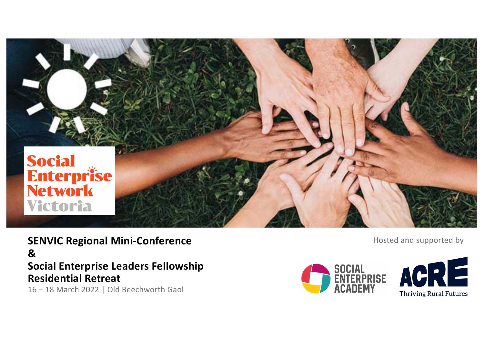

**SENVIC Regional Mini & Social Enterprise Leaders Fellowship Residential Retreat** 16 – 18 March 2022 | Old Beechworth Gaol

SOCIAL<br>ENTERPRISE<br>ACADEMY



**Hosted and supported by**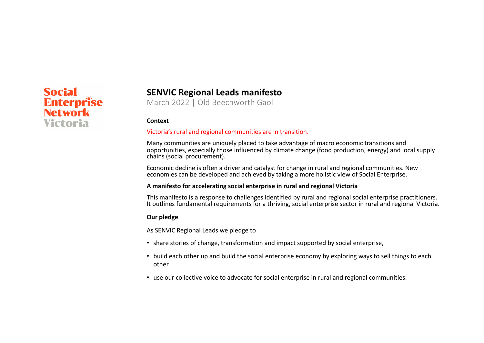# **Social Enterprise Network** Victoria

## **SENVIC Regional Leads manifesto**

March 2022 | Old Beechworth Gaol

#### **Context**

#### Victoria's rural and regional communities are in transition.

Many communities are uniquely placed to take advantage of macro economic transitions and opportunities, especially those influenced by climate change (food production, energy) and local supply chains (social procurement).

Economic decline is often a driver and catalyst for change in rural and regional communities. New economies can be developed and achieved by taking a more holistic view of Social Enterprise.

#### **A manifesto for accelerating social enterprise in rural and regional Victoria**

This manifesto is a response to challenges identified by rural and regional social enterprise practitioners. It outlines fundamental requirements for a thriving, social enterprise sector in rural and regional Victoria.

#### **Our pledge**

As SENVIC Regional Leads we pledge to

- share stories of change, transformation and impact supported by social enterprise,
- build each other up and build the social enterprise economy by exploring ways to sell things to each other
- use our collective voice to advocate for social enterprise in rural and regional communities.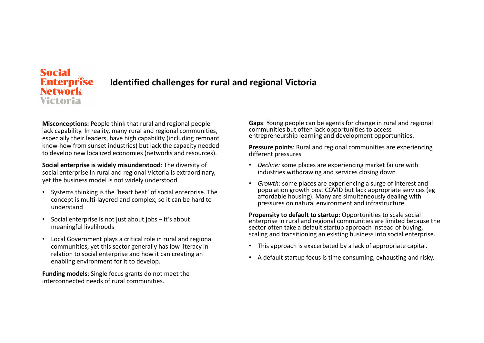### **Social Enterprise Identified challenges for rural and regional VictoriaNetwork** Victoria

**Misconceptions:** People think that rural and regional people lack capability. In reality, many rural and regional communities, especially their leaders, have high capability (including remnant know-how from sunset industries) but lack the capacity needed to develop new localized economies (networks and resources).

**Social enterprise is widely misunderstood**: The diversity of social enterprise in rural and regional Victoria is extraordinary, yet the business model is not widely understood.

- Systems thinking is the 'heart beat' of social enterprise. The concept is multi-layered and complex, so it can be hard to understand
- Social enterprise is not just about jobs it's about meaningful livelihoods
- Local Government plays a critical role in rural and regional communities, yet this sector generally has low literacy in relation to social enterprise and how it can creating an enabling environment for it to develop.

**Funding models**: Single focus grants do not meet the interconnected needs of rural communities.

**Gaps**: Young people can be agents for change in rural and regional communities but often lack opportunities to access entrepreneurship learning and development opportunities.

**Pressure points**: Rural and regional communities are experiencing different pressures

- *Decline:* some places are experiencing market failure with industries withdrawing and services closing down
- *Growth*: some places are experiencing a surge of interest and population growth post COVID but lack appropriate services (eg affordable housing). Many are simultaneously dealing with pressures on natural environment and infrastructure.

**Propensity to default to startup**: Opportunities to scale social enterprise in rural and regional communities are limited because the sector often take a default startup approach instead of buying, scaling and transitioning an existing business into social enterprise.

- This approach is exacerbated by a lack of appropriate capital.
- A default startup focus is time consuming, exhausting and risky.